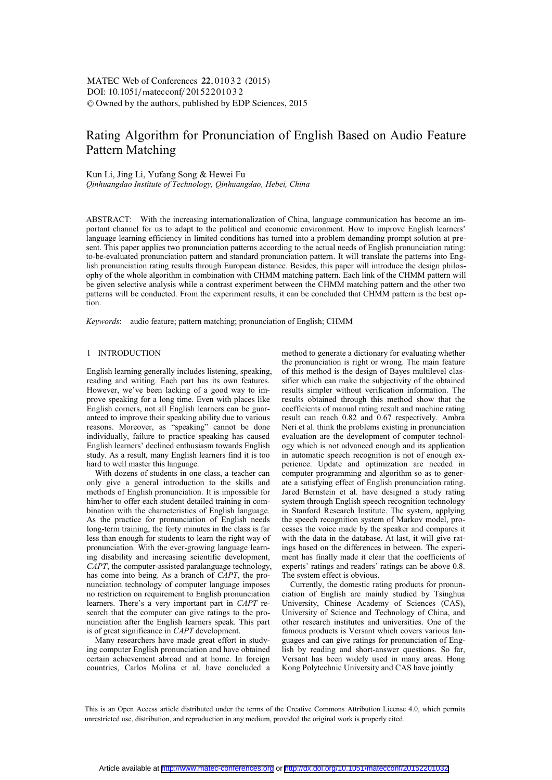# $\text{DOI: } 10.1051/\text{mategorf}/20152201032$ -<sup>C</sup> Owned by the authors, published by EDP Sciences, 2015 MATEC Web of Conferences 22, 01032 (2015)

# Rating Algorithm for Pronunciation of English Based on Audio Feature Pattern Matching

# Kun Li, Jing Li, Yufang Song & Hewei Fu *Qinhuangdao Institute of Technology, Qinhuangdao, Hebei, China*

ABSTRACT: With the increasing internationalization of China, language communication has become an important channel for us to adapt to the political and economic environment. How to improve English learners' language learning efficiency in limited conditions has turned into a problem demanding prompt solution at present. This paper applies two pronunciation patterns according to the actual needs of English pronunciation rating: to-be-evaluated pronunciation pattern and standard pronunciation pattern. It will translate the patterns into English pronunciation rating results through European distance. Besides, this paper will introduce the design philosophy of the whole algorithm in combination with CHMM matching pattern. Each link of the CHMM pattern will be given selective analysis while a contrast experiment between the CHMM matching pattern and the other two patterns will be conducted. From the experiment results, it can be concluded that CHMM pattern is the best option.

*Keywords*: audio feature; pattern matching; pronunciation of English; CHMM

# 1 INTRODUCTION

English learning generally includes listening, speaking, reading and writing. Each part has its own features. However, we've been lacking of a good way to improve speaking for a long time. Even with places like English corners, not all English learners can be guaranteed to improve their speaking ability due to various reasons. Moreover, as "speaking" cannot be done individually, failure to practice speaking has caused English learners' declined enthusiasm towards English study. As a result, many English learners find it is too hard to well master this language.

With dozens of students in one class, a teacher can only give a general introduction to the skills and methods of English pronunciation. It is impossible for him/her to offer each student detailed training in combination with the characteristics of English language. As the practice for pronunciation of English needs long-term training, the forty minutes in the class is far less than enough for students to learn the right way of pronunciation. With the ever-growing language learning disability and increasing scientific development, *CAPT*, the computer-assisted paralanguage technology, has come into being. As a branch of *CAPT*, the pronunciation technology of computer language imposes no restriction on requirement to English pronunciation learners. There's a very important part in *CAPT* research that the computer can give ratings to the pronunciation after the English learners speak. This part is of great significance in *CAPT* development.

Many researchers have made great effort in studying computer English pronunciation and have obtained certain achievement abroad and at home. In foreign countries, Carlos Molina et al. have concluded a method to generate a dictionary for evaluating whether the pronunciation is right or wrong. The main feature of this method is the design of Bayes multilevel classifier which can make the subjectivity of the obtained results simpler without verification information. The results obtained through this method show that the coefficients of manual rating result and machine rating result can reach 0.82 and 0.67 respectively. Ambra Neri et al. think the problems existing in pronunciation evaluation are the development of computer technology which is not advanced enough and its application in automatic speech recognition is not of enough experience. Update and optimization are needed in computer programming and algorithm so as to generate a satisfying effect of English pronunciation rating. Jared Bernstein et al. have designed a study rating system through English speech recognition technology in Stanford Research Institute. The system, applying the speech recognition system of Markov model, processes the voice made by the speaker and compares it with the data in the database. At last, it will give ratings based on the differences in between. The experiment has finally made it clear that the coefficients of experts' ratings and readers' ratings can be above 0.8. The system effect is obvious.

Currently, the domestic rating products for pronunciation of English are mainly studied by Tsinghua University, Chinese Academy of Sciences (CAS), University of Science and Technology of China, and other research institutes and universities. One of the famous products is Versant which covers various languages and can give ratings for pronunciation of English by reading and short-answer questions. So far, Versant has been widely used in many areas. Hong Kong Polytechnic University and CAS have jointly

This is an Open Access article distributed under the terms of the Creative Commons Attribution License 4.0, which permits unrestricted use, distribution, and reproduction in any medium, provided the original work is properly cited.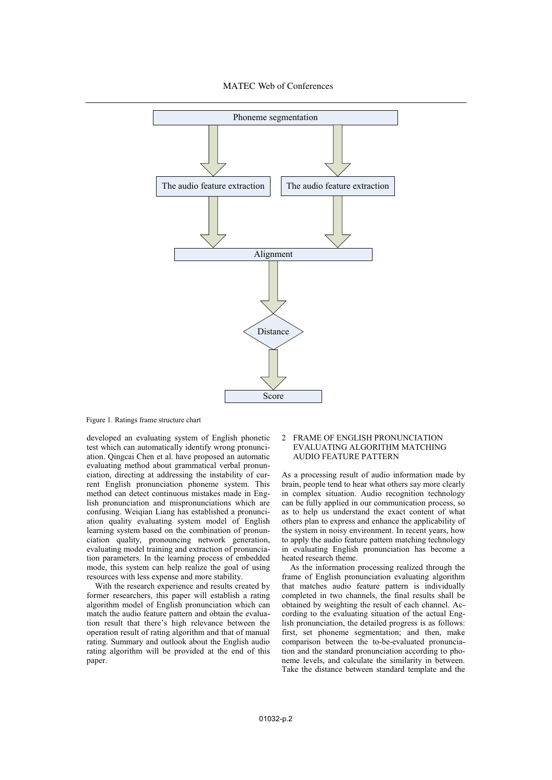

Figure 1. Ratings frame structure chart

developed an evaluating system of English phonetic test which can automatically identify wrong pronunciation. Qingcai Chen et al. have proposed an automatic evaluating method about grammatical verbal pronunciation, directing at addressing the instability of current English pronunciation phoneme system. This method can detect continuous mistakes made in English pronunciation and mispronunciations which are confusing. Weiqian Liang has established a pronunciation quality evaluating system model of English learning system based on the combination of pronunciation quality, pronouncing network generation, evaluating model training and extraction of pronunciation parameters. In the learning process of embedded mode, this system can help realize the goal of using resources with less expense and more stability.

With the research experience and results created by former researchers, this paper will establish a rating algorithm model of English pronunciation which can match the audio feature pattern and obtain the evaluation result that there's high relevance between the operation result of rating algorithm and that of manual rating. Summary and outlook about the English audio rating algorithm will be provided at the end of this paper.

## 2 FRAME OF ENGLISH PRONUNCIATION EVALUATING ALGORITHM MATCHING AUDIO FEATURE PATTERN

As a processing result of audio information made by brain, people tend to hear what others say more clearly in complex situation. Audio recognition technology can be fully applied in our communication process, so as to help us understand the exact content of what others plan to express and enhance the applicability of the system in noisy environment. In recent years, how to apply the audio feature pattern matching technology in evaluating English pronunciation has become a heated research theme.

As the information processing realized through the frame of English pronunciation evaluating algorithm that matches audio feature pattern is individually completed in two channels, the final results shall be obtained by weighting the result of each channel. According to the evaluating situation of the actual English pronunciation, the detailed progress is as follows: first, set phoneme segmentation; and then, make comparison between the to-be-evaluated pronunciation and the standard pronunciation according to phoneme levels, and calculate the similarity in between. Take the distance between standard template and the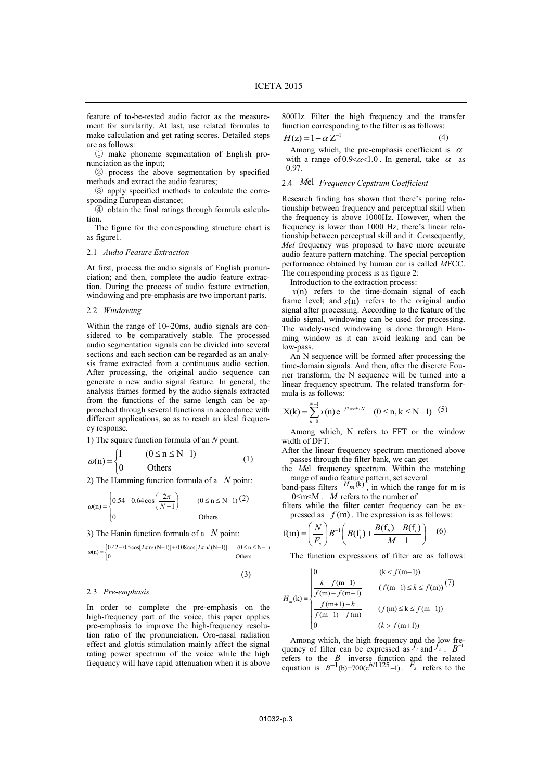feature of to-be-tested audio factor as the measurement for similarity. At last, use related formulas to make calculation and get rating scores. Detailed steps are as follows:

 $(i)$  make phoneme segmentation of English pronunciation as the input;

2 process the above segmentation by specified methods and extract the audio features;

Ĺ apply specified methods to calculate the corresponding European distance;

ĺ obtain the final ratings through formula calculation.

The figure for the corresponding structure chart is as figure1.

#### 2.1 *Audio Feature Extraction*

At first, process the audio signals of English pronunciation; and then, complete the audio feature extraction. During the process of audio feature extraction, windowing and pre-emphasis are two important parts.

#### 2.2 *Windowing*

Within the range of 10~20ms, audio signals are considered to be comparatively stable. The processed audio segmentation signals can be divided into several sections and each section can be regarded as an analysis frame extracted from a continuous audio section. After processing, the original audio sequence can generate a new audio signal feature. In general, the analysis frames formed by the audio signals extracted from the functions of the same length can be approached through several functions in accordance with different applications, so as to reach an ideal frequency response.

1) The square function formula of an *N* point:

$$
\omega(n) = \begin{cases} 1 & (0 \le n \le N-1) \\ 0 & \text{Others} \end{cases}
$$
 (1)

2) The Hamming function formula of a *N* point:

$$
\omega(n) = \begin{cases} 0.54 - 0.64 \cos\left(\frac{2\pi}{N - 1}\right) & (0 \le n \le N - 1) \ (2) \\ 0 & \text{others} \end{cases}
$$

3) The Hanin function formula of a *N* point:

$$
\omega(n) = \begin{cases} 0.42 - 0.5 \cos[2\pi n/(N-1)] + 0.08 \cos[2\pi n/(N-1)] & (0 \le n \le N-1) \\ 0 & \text{Others} \end{cases}
$$

$$
(3)
$$

#### 2.3 *Pre-emphasis*

In order to complete the pre-emphasis on the high-frequency part of the voice, this paper applies pre-emphasis to improve the high-frequency resolution ratio of the pronunciation. Oro-nasal radiation effect and glottis stimulation mainly affect the signal rating power spectrum of the voice while the high frequency will have rapid attenuation when it is above 800Hz. Filter the high frequency and the transfer function corresponding to the filter is as follows:

$$
H(z) = 1 - \alpha Z^{-1} \tag{4}
$$

Among which, the pre-emphasis coefficient is  $\alpha$ with a range of  $0.9 < \alpha < 1.0$ . In general, take  $\alpha$  as 0.97.

# 2.4 *M*el *Frequency Cepstrum Coefficient*

Research finding has shown that there's paring relationship between frequency and perceptual skill when the frequency is above 1000Hz. However, when the frequency is lower than 1000 Hz, there's linear relationship between perceptual skill and it. Consequently, *Mel* frequency was proposed to have more accurate audio feature pattern matching. The special perception performance obtained by human ear is called *M*FCC. The corresponding process is as figure 2:

Introduction to the extraction process:

 $x(n)$  refers to the time-domain signal of each frame level; and  $s(n)$  refers to the original audio signal after processing. According to the feature of the audio signal, windowing can be used for processing. The widely-used windowing is done through Hamming window as it can avoid leaking and can be low-pass.

An N sequence will be formed after processing the time-domain signals. And then, after the discrete Fourier transform, the N sequence will be turned into a linear frequency spectrum. The related transform formula is as follows:

$$
X(k) = \sum_{n=0}^{N-1} x(n) e^{-j2\pi nk/N} \quad (0 \le n, k \le N-1) \quad (5)
$$

Among which, N refers to FFT or the window width of DFT.

After the linear frequency spectrum mentioned above passes through the filter bank, we can get

the *M*el frequency spectrum. Within the matching

range of audio feature pattern, set several band-pass filters  $H_m(k)$ , in which the range for m is  $0 \le m \le M$ . *M* refers to the number of

filters while the filter center frequency can be expressed as  $f(m)$ . The expression is as follows:

$$
f(m) = \left(\frac{N}{F_s}\right) B^{-1} \left(B(f_i) + \frac{B(f_i) - B(f_i)}{M + 1}\right) \quad (6)
$$

The function expressions of filter are as follows:

$$
H_m(k) = \begin{cases} 0 & (k < f(m-1)) \\ \frac{k - f(m-1)}{f(m) - f(m-1)} & (f(m-1) \le k \le f(m)) \\ \frac{f(m+1) - k}{f(m+1) - f(m)} & (f(m) \le k \le f(m+1)) \\ 0 & (k > f(m+1)) \end{cases}
$$

Among which, the high frequency and the low frequency of filter can be expressed as  $f_i$  and  $f_h$ .  $B^{-1}$ refers to the *B* inverse function and the related equation is  $B^{-1}$ (b)=700(e<sup>b/1125</sup>-1).  $F_s$  refers to the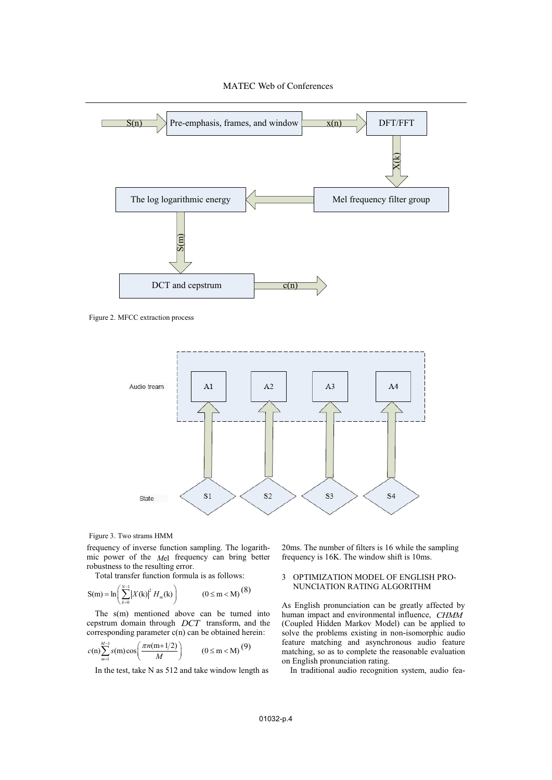# MATEC Web of Conferences



Figure 2. MFCC extraction process



Figure 3. Two strams HMM

frequency of inverse function sampling. The logarithmic power of the *M*el frequency can bring better robustness to the resulting error.

Total transfer function formula is as follows:

$$
S(m) = \ln \left( \sum_{k=0}^{N-1} \left| X(k) \right|^2 H_m(k) \right) \tag{8} \tag{8}
$$

The s(m) mentioned above can be turned into cepstrum domain through *DCT* transform, and the corresponding parameter  $c(n)$  can be obtained herein:

$$
c(n) \sum_{m=1}^{M-1} s(m) \cos\left(\frac{\pi n(m+1/2)}{M}\right) \qquad (0 \le m < M)^{(9)}
$$

In the test, take N as 512 and take window length as

20ms. The number of filters is 16 while the sampling frequency is 16K. The window shift is 10ms.

# 3 OPTIMIZATION MODEL OF ENGLISH PRO-NUNCIATION RATING ALGORITHM

As English pronunciation can be greatly affected by human impact and environmental influence, *CHMM* (Coupled Hidden Markov Model) can be applied to solve the problems existing in non-isomorphic audio feature matching and asynchronous audio feature matching, so as to complete the reasonable evaluation on English pronunciation rating.

In traditional audio recognition system, audio fea-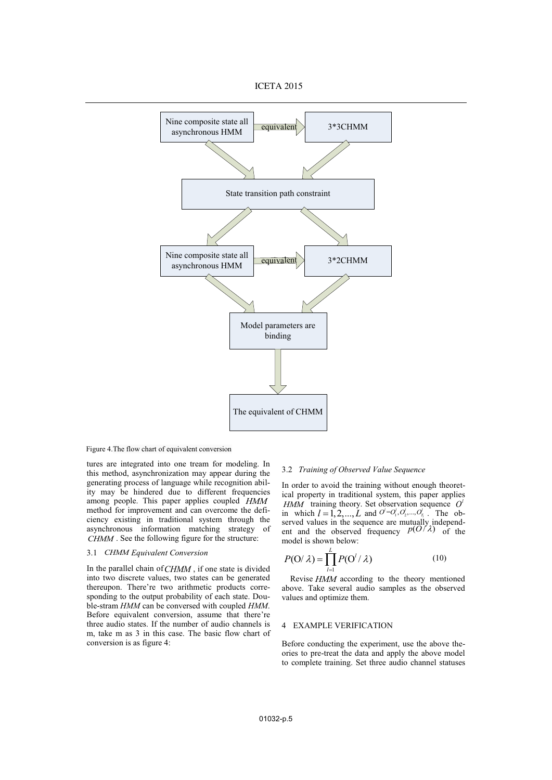

Figure 4.The flow chart of equivalent conversion

tures are integrated into one tream for modeling. In this method, asynchronization may appear during the generating process of language while recognition ability may be hindered due to different frequencies among people. This paper applies coupled *HMM* method for improvement and can overcome the deficiency existing in traditional system through the asynchronous information matching strategy of *CHMM* . See the following figure for the structure:

### 3.1 *CHMM Equivalent Conversion*

In the parallel chain of*CHMM* , if one state is divided into two discrete values, two states can be generated thereupon. There're two arithmetic products corresponding to the output probability of each state. Double-stram *HMM* can be conversed with coupled *HMM*. Before equivalent conversion, assume that there're three audio states. If the number of audio channels is m, take m as 3 in this case. The basic flow chart of conversion is as figure 4:

### 3.2 *Training of Observed Value Sequence*

In order to avoid the training without enough theoretical property in traditional system, this paper applies *HMM* training theory. Set observation sequence  $O^t$ in which  $l = 1, 2, ..., L$  and  $O' = O'_1, O'_2, ..., O'_T$ . The observed values in the sequence are mutually independent and the observed frequency  $p(O/\lambda)$  of the model is shown below:

$$
P(\mathbf{O}/\lambda) = \prod_{l=1}^{L} P(\mathbf{O}^{l}/\lambda)
$$
 (10)

Revise *HMM* according to the theory mentioned above. Take several audio samples as the observed values and optimize them.

## 4 EXAMPLE VERIFICATION

Before conducting the experiment, use the above theories to pre-treat the data and apply the above model to complete training. Set three audio channel statuses